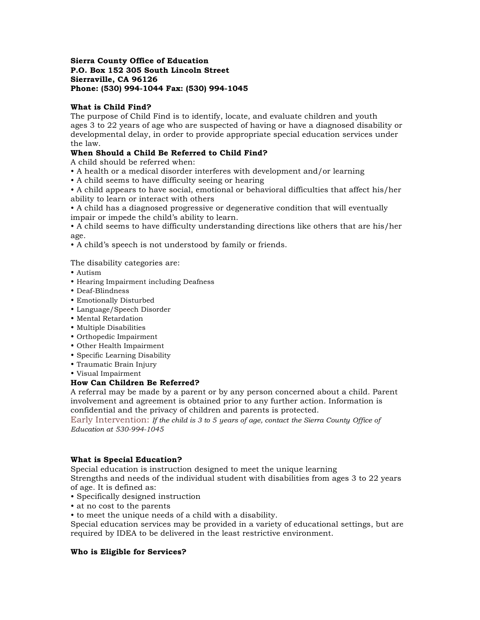### **Sierra County Office of Education P.O. Box 152 305 South Lincoln Street Sierraville, CA 96126 Phone: (530) 994-1044 Fax: (530) 994-1045**

# **What is Child Find?**

The purpose of Child Find is to identify, locate, and evaluate children and youth ages 3 to 22 years of age who are suspected of having or have a diagnosed disability or developmental delay, in order to provide appropriate special education services under the law.

# **When Should a Child Be Referred to Child Find?**

A child should be referred when:

• A health or a medical disorder interferes with development and/or learning

• A child seems to have difficulty seeing or hearing

• A child appears to have social, emotional or behavioral difficulties that affect his/her ability to learn or interact with others

• A child has a diagnosed progressive or degenerative condition that will eventually impair or impede the child's ability to learn.

• A child seems to have difficulty understanding directions like others that are his/her age.

• A child's speech is not understood by family or friends.

The disability categories are:

- Autism
- Hearing Impairment including Deafness
- Deaf-Blindness
- Emotionally Disturbed
- Language/Speech Disorder
- Mental Retardation
- Multiple Disabilities
- Orthopedic Impairment
- Other Health Impairment
- Specific Learning Disability
- Traumatic Brain Injury
- Visual Impairment

#### **How Can Children Be Referred?**

A referral may be made by a parent or by any person concerned about a child. Parent involvement and agreement is obtained prior to any further action. Information is confidential and the privacy of children and parents is protected.

Early Intervention: *If the child is 3 to 5 years of age, contact the Sierra County Office of Education at 530-994-1045*

#### **What is Special Education?**

Special education is instruction designed to meet the unique learning

Strengths and needs of the individual student with disabilities from ages 3 to 22 years of age. It is defined as:

- Specifically designed instruction
- at no cost to the parents
- to meet the unique needs of a child with a disability.

Special education services may be provided in a variety of educational settings, but are required by IDEA to be delivered in the least restrictive environment.

#### **Who is Eligible for Services?**